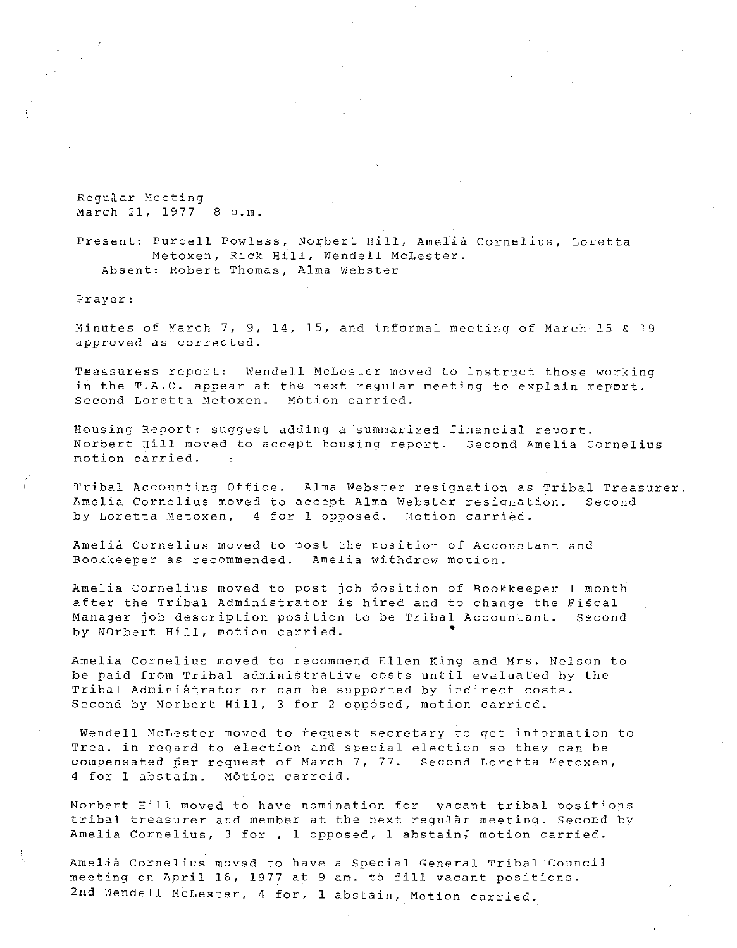Regud.ar Meeting March 21, 1977 8 p.m.

Present: Purcell Powless, Norbert Hill, Amelia Cornelius, Loretta Metoxen, Rick Hill, Wendell McLester. Absent: Robert Thomas, Alma Webster

Prayer:

Minutes of March 7, 9, 14, 15, and informal meeting of March 15 & 19 approved as corrected.

Teeasuress report: Wendell McLester moved to instruct those working in the T.A.O. appear at the next regular meeting to explain report. Second Loretta Metoxen. Motion carried.

Housing Report: suggest adding a summarized financial report. Norbert Hill moved to accept housinq report. Second Amelia Cornelius motion carried.

Tribal Accounting Office. Alma Webster resignation as Tribal Treasurer. Amelia Cornelius moved to accept Alma Webster resignation. Second by Loretta Metoxen, 4 for 1 opposed. Motion carried.

Amelia Cornelius moved to post the position of Accountant and Bookkeeper as recommended. Amelia withdrew motion.

Amelia Cornelius moved to post job position of BooKkeeper 1 month after the Tribal Administrator is hired and to change the Fiscal Manager job description position to be Tribal Accountant. Second by NOrbert Hill, motion carried. •

Amelia Cornelius moved to recommend Ellen King and Mrs. Nelson to be paid from Tribal administrative costs until evaluated by the Tribal Administrator or can be supported by indirect costs. Second by Norbert Hill, 3 for 2 opposed, motion carried.

Wendell McLester moved to request secretary to get information to Trea. in regard to election and special election so they can be compensated per request of March 7, 77. Second Loretta Metoxen, 4 for 1 abstain. Motion carreid.

Norbert Hill moved to have nomination for vacant tribal positions tribal treasurer and member at the next regular meeting. Second by Amelia Cornelius, 3 for , 1 opposed, 1 abstain; motion carried.

Amelia Cornelius moved to have a Special General Tribal Council meeting on April 16, 1977 at 9 am. to fill vacant positions. 2nd Wendell McLester, 4 for, 1 abstain, Motion carried.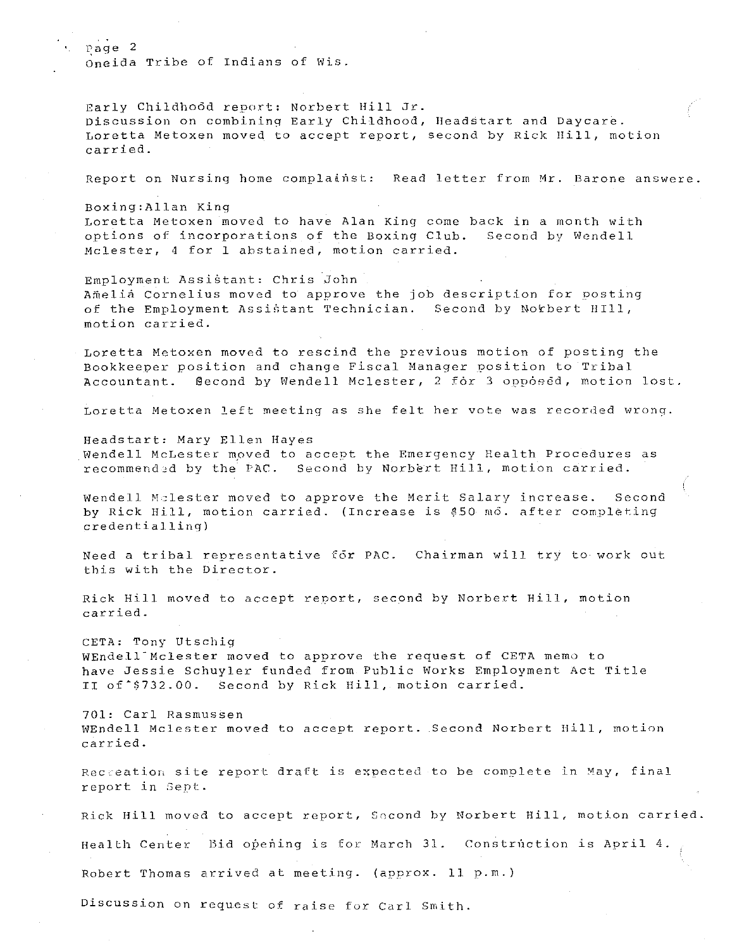Page 2 oneida Tribe of Indians of Wis.

Early Childho6d report: Norbert Hill Jr. buis, included to measure more formed that the material contracts on the property childhood, Headstart and Daycare. Loretta Metoxen moved to accept report, second by Rick IIill, motion carried.

Report on Nursing home complainst: Read letter from Mr. Barone answere.

Boxing:Allan Kinq

Loretta Metoxen moved to have Alan King come back in a month with options of incorporations of the Boxing Club. Second by Wendell Mclester, 4 for 1 abstained, motion carried.

Employment Assistant: Chris John Amelia Cornelius moved to approve the job description for posting of the Employment Assistant Technician. Second by Norbert HIll, motion carried.

Loretta Metoxen moved to rescind the previous motion of posting the Bookkeeper position and change Fiscal Manager position to Tribal Accountant. @econd by Wendell Mclester, 2 for 3 opposed, motion lost.

Loretta Metoxen left meeting as she felt her vote was recorded wrong.

Headstart: Mary Ellen Hayes Wendell McLester mpved to accept the Emergency Health Procedures as recommended by the PAC. Second by Norbert Hill, motion carried.

Wendell Melester moved to approve the Merit Salary increase. Second henderi Asiescer moved to approve and heric Sarary Increase. Second<br>by Rick Hill, motion carried. (Increase is \$50 mo. after completing  $credential$  ling)

Need a tribal representative for PAC. Chairman will try to work out this with the Director.

Rick Hill moved to accept report, second by Norbert Hill, motion carried.

CETA: Tony Utschig WEndell-Mclester moved to approve the request of CETA memo to have Jessie Schuyler funded from Public Works Employment Act Title II of \$732.00. Second by Rick Hill, motion carried.

701: Carl Rasmussen WEndell Mclester moved to accept report .. Second Norbert Hill, motion carried.

Recteation site report draft is expected to be complete in May, final report in Sept.

Rick Hill moved to accept report, Second by Norbert Hill, motion carried.

Health Center Bid opening is for March 31. Construction is April 4.

Robert Thomas arrived at meeting. (approx. 11 p.m.

Discussion on request of raise for Carl Smith.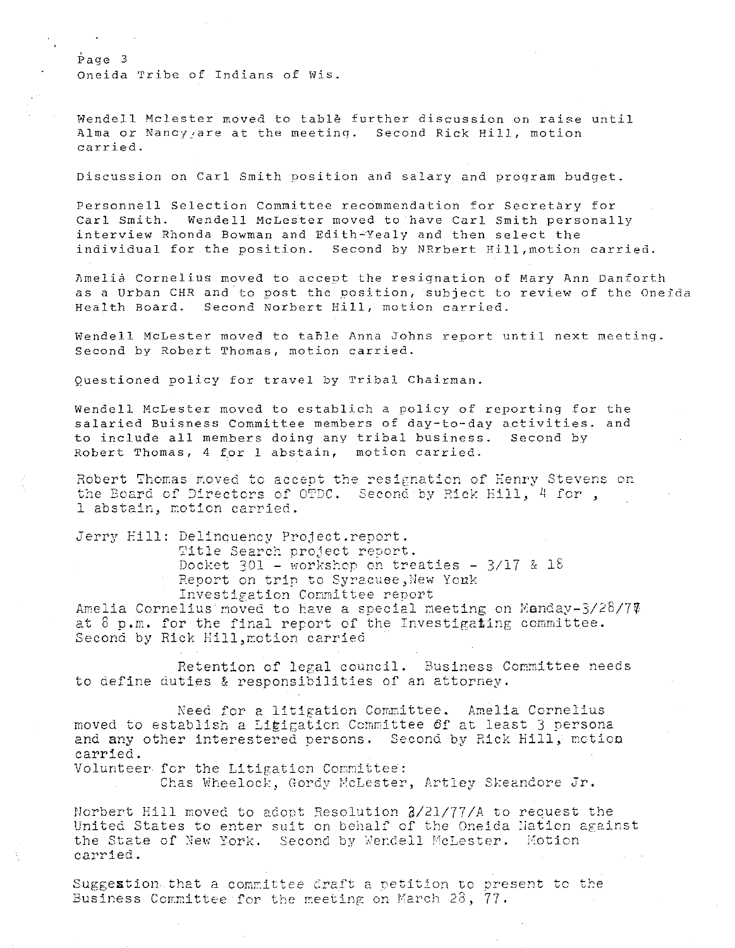Oneida Tribe of Indians of Wis.

Page 3

Wendell Mclester moved to table further discussion on raise until Alma or Nancy:are at the meetinq. Second Rick Hill, motion carried.

Discussion on Carl Smith position and salary and program budget.

Personnel! Selection Committee recommendation for Secretary for Carl Smith. Wendell McLester moved to have Carl Smith personally interview Rhonda Bowman and Edith~Yealy and then select the individual for the position. Second by NRrbert Hill,motion carried.

nmelia Cornelius moved to accept the resignation of Mary Ann Danforth as a Urban CHR and to post the position, subject to review of the Oneida Health Board. Second Norbert Hill, motion carried.

Wendell McLester moved to table Anna Johns report until next meeting. Second by Robert Thomas, motion carried.

Questioned policy for travel by Tribal Chairman.

Wendell McLester moved to establich a policy of reporting for the salaried Buisness Committee members of day-to-day activities. and to include all members doing any tribal business. Second by Robert Thomas, 4 for 1 abstain, motion carried.

Robert Thomas moved to accept the resignation of Henry Stevens on the Board of Directors of OTDC. Second by Rick Eill, 4 for,  $l$  abstain, motion carried.

Jerry Eill: Delinouency Project.report.

Title Search project report.

Docket 301 - workshop on treaties -  $3/17$  & 18 Report on trip to Syracuee, New Youk

Investigation Committee report

Amelia Cornelius moved to have a special meeting on Manday- $3/28/7\%$ at 8 p.m. for the final report of the Investigating committee. Second by Rick Hill, motion carried

Retention of legal council. Business Committee needs to define duties & responsibilities of an attorney.

Need for a litigation Committee. Amelia Cornelius moved to establish a Litigation Committee  $of$  at least 3 persona and any other interestered persons. Second by Rick Hill, motion carried.

Volunteer for the Litigation Committee:

Chas Wheelock, Gordy McLester, Artley Skeandore Jr.

Norbert Hill moved to adopt Resolution  $2/21/77/A$  to request the United States to enter suit on behalf of the Oneida Nation against the State of New York. Second by Wendell McLester. Motion carried.

Suggestion that a committee draft a petition to present to the Business Committee for the meeting on March 23, 77.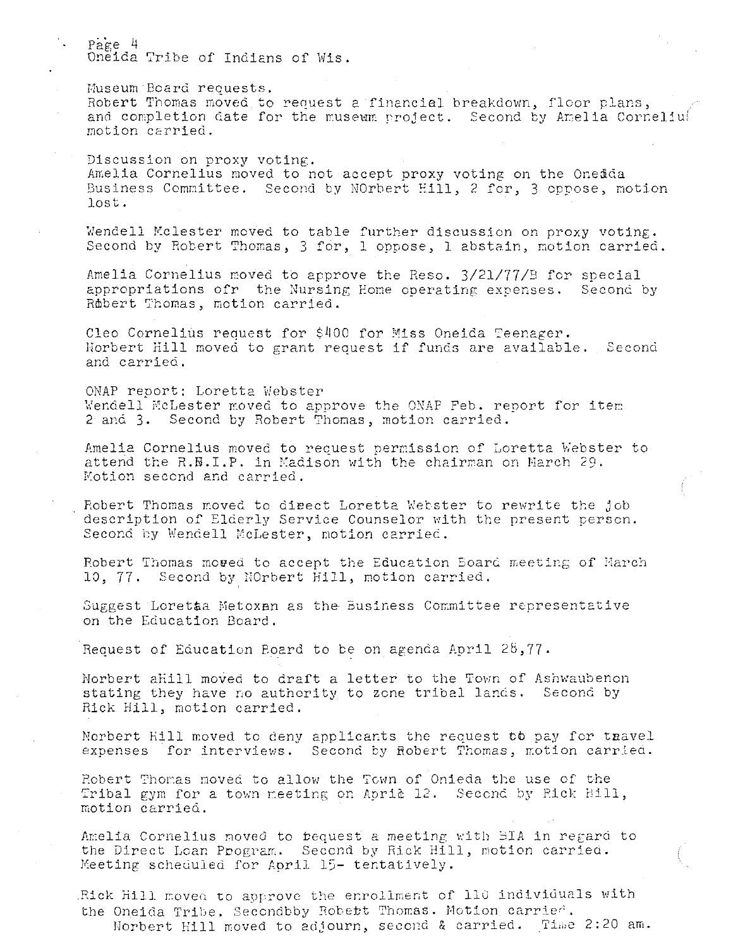Page 4 Oneida Tribe of Indians of Wis.

**Museum Board requests.**  Robert Thomas moved to request a financial breakdown, floor plans, and completion date for the museum project. Second by Amelia Corneliul motion carried.

Discussion on proxy voting. Amelia Cornelius moved to not accept proxy voting on the Onedda Business Committee. Second by NOrbert Hill, 2 for, 3 oppose, motion **lost.** 

Wendell Mclester moved to table further discussion on proxy voting. Second by Robert Thomas, 3 for, 1 oppose, 1 abstain, motion carried.

Amelia Cornelius moved to approve the Reso. 3/21/77/E for special **appropriations ofr the Nursing Eone operating expenses. Second by**  Robert Thomas, motion carried.

Cleo Cornelius request for \$400 for Miss Oneida Teenager. llorbert Hill moved to grant request if funds are available. Second and carried,

ONAP report: Loretta Webster Wendell McLester moved to approve the ONAP Feb. report for item 2 and 3. Second by Robert Thomas, motion carried.

Amelia Cornelius moved to request permission of Loretta Webster to attend the R.B.I.P. in Kadison with the chairman on March 29. Kotion second and carried.

Robert Thomas moved to dieect Loretta Webster to rewrite the job description of Elderly Service Counselor with the present person. Second by Wendell McLester, motion carried.

Robert Thomas moved to accept the Education Board meeting of March 10, 77. Second by.NOrbert Hill, motion carried.

Suggest Loretta Metoxan as the Business Committee representative on the Education Board.

Request of Education Board to be on agenda April 2B,77.

Norbert aHill moved to draft a letter to the Town of Ashwaubenon stating they have no authority to zone tribal lands. Second by Rick Hill, motion carried.

Norbert Hill moved to deny applicants the request tb pay for taavel **expenses** for interviews. Second by Robert Thomas, motion carried.

Robert Thomas moved to allow the Town of Onieda the use of the Tribal gym for a town meeting on Apri& 12. Second by Rick Hill, **motion carrieci.** 

Amelia Cornelius moved to bequest a meeting with BIA in regard to the Direct Loan Program. Second by Rick Hill, motion carried. Keeting scheduled for April 15- tentatively .

Rick Hill moved to approve the enrollment of 110 individuals with the Oneida Tribe. Secondbby Robett Thomas. Motion carried. Norbert Hill moved to adjourn, second & carried. Time 2:20 am.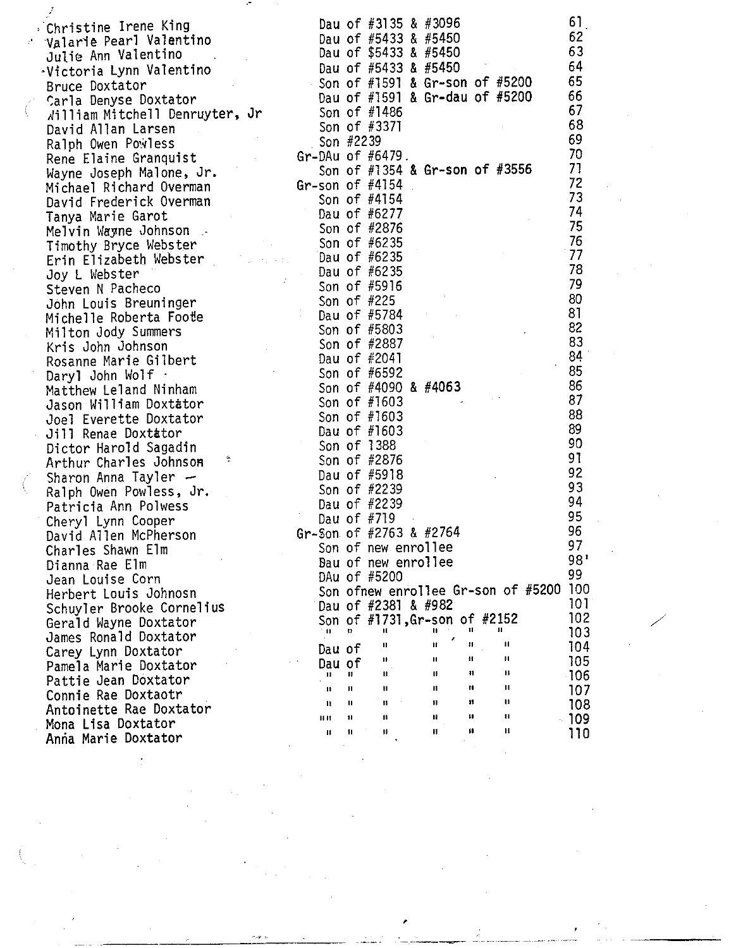| Christine Irene King                                                                                                                                                                                                                                                                                                                                                                                                                                                                    |                                        |             |     | Dau of #3135 & #3096                                                                                                                                                 |               |    |                     | 61         |  |  |
|-----------------------------------------------------------------------------------------------------------------------------------------------------------------------------------------------------------------------------------------------------------------------------------------------------------------------------------------------------------------------------------------------------------------------------------------------------------------------------------------|----------------------------------------|-------------|-----|----------------------------------------------------------------------------------------------------------------------------------------------------------------------|---------------|----|---------------------|------------|--|--|
| Valarie Pearl Valentino<br>Unite Ann Valentino<br>Unite Ann Valentino<br>Victoria Lynn Valentino<br>Bruce Doxtator<br>Carla Denyse Doxtator<br>Victoria Lynn Valentino<br>Bruce Doxtator<br>Carla Denyse Doxtator<br>Victoria Lynn Valentino<br>Carla Denyse Doxtator<br>Carl                                                                                                                                                                                                           |                                        |             |     | Dau of #5433 & #5450                                                                                                                                                 |               |    |                     | 62         |  |  |
|                                                                                                                                                                                                                                                                                                                                                                                                                                                                                         |                                        |             |     |                                                                                                                                                                      |               |    |                     | 63         |  |  |
|                                                                                                                                                                                                                                                                                                                                                                                                                                                                                         |                                        |             |     |                                                                                                                                                                      |               |    |                     | 64         |  |  |
|                                                                                                                                                                                                                                                                                                                                                                                                                                                                                         |                                        |             |     |                                                                                                                                                                      |               |    |                     | 65         |  |  |
|                                                                                                                                                                                                                                                                                                                                                                                                                                                                                         |                                        |             |     |                                                                                                                                                                      |               |    |                     | 66         |  |  |
|                                                                                                                                                                                                                                                                                                                                                                                                                                                                                         |                                        |             |     |                                                                                                                                                                      |               |    |                     | 67         |  |  |
|                                                                                                                                                                                                                                                                                                                                                                                                                                                                                         |                                        |             |     |                                                                                                                                                                      |               |    |                     | 68         |  |  |
| Ralph Owen Powless                                                                                                                                                                                                                                                                                                                                                                                                                                                                      |                                        |             |     |                                                                                                                                                                      |               |    |                     | 69         |  |  |
| Rene Elaine Granquist<br>Wayne Joseph Malone, Jr.<br>Michael Richard Overman<br>Michael Richard Overman<br>Michael Richard Overman<br>Gr-son of #4154                                                                                                                                                                                                                                                                                                                                   |                                        |             |     |                                                                                                                                                                      |               |    |                     | 70         |  |  |
|                                                                                                                                                                                                                                                                                                                                                                                                                                                                                         |                                        |             |     |                                                                                                                                                                      |               |    |                     | 71         |  |  |
|                                                                                                                                                                                                                                                                                                                                                                                                                                                                                         |                                        |             |     |                                                                                                                                                                      |               |    |                     | 72         |  |  |
|                                                                                                                                                                                                                                                                                                                                                                                                                                                                                         |                                        |             |     |                                                                                                                                                                      |               |    |                     | 73         |  |  |
|                                                                                                                                                                                                                                                                                                                                                                                                                                                                                         |                                        |             |     |                                                                                                                                                                      |               |    |                     | 74         |  |  |
|                                                                                                                                                                                                                                                                                                                                                                                                                                                                                         |                                        |             |     |                                                                                                                                                                      |               |    |                     | 75         |  |  |
|                                                                                                                                                                                                                                                                                                                                                                                                                                                                                         |                                        |             |     |                                                                                                                                                                      |               |    |                     | 76         |  |  |
|                                                                                                                                                                                                                                                                                                                                                                                                                                                                                         |                                        |             |     |                                                                                                                                                                      |               |    |                     | 77         |  |  |
|                                                                                                                                                                                                                                                                                                                                                                                                                                                                                         |                                        |             |     |                                                                                                                                                                      |               |    |                     | 78         |  |  |
|                                                                                                                                                                                                                                                                                                                                                                                                                                                                                         |                                        |             |     |                                                                                                                                                                      |               |    |                     | 79         |  |  |
|                                                                                                                                                                                                                                                                                                                                                                                                                                                                                         |                                        |             |     |                                                                                                                                                                      |               |    |                     | 80         |  |  |
|                                                                                                                                                                                                                                                                                                                                                                                                                                                                                         |                                        |             |     |                                                                                                                                                                      |               |    |                     | 81         |  |  |
|                                                                                                                                                                                                                                                                                                                                                                                                                                                                                         |                                        |             |     |                                                                                                                                                                      |               |    |                     | 82         |  |  |
| Friendel Richard Uverman<br>David Frederick Overman<br>Tanya Marie Garot<br>Melvin Wayne Johnson<br>Timothy Bryce Webster<br>Erin Elizabeth Webster<br>Dau of #6235<br>Erin Elizabeth Webster<br>Dau of #6235<br>Dau of #6235<br>Son of #6235<br>Ste                                                                                                                                                                                                                                    |                                        |             |     |                                                                                                                                                                      |               |    |                     | 83         |  |  |
|                                                                                                                                                                                                                                                                                                                                                                                                                                                                                         |                                        |             |     |                                                                                                                                                                      |               |    |                     | 84         |  |  |
| Timothy Bryce webster<br>Erin Elizabeth Webster<br>Joy L Webster<br>Steven N Pacheco<br>John Louis Breuninger<br>Michelle Roberta Foote<br>Milton Jody Summers<br>Kris John Johnson<br>Rosanne Marie Gilbert<br>Darvl John Wolf<br>Kris John Wolf<br>Rosanne Marie Gilbert<br>Daryl John Wolf<br>Matthew Leland Ninham<br>Jason William Doxtator<br>Joel Everette Doxtator<br>Jill Renae Doxtator<br>Jill Renae Doxtator<br>Dau of #1603<br>Son of #1603<br>Son of #1603<br>Son of #160 |                                        |             |     | Son of #2887<br>Dau of #2887<br>Dau of #2041<br>Son of #6592<br>Son of #4090 & #4063<br>Son of #1603<br>Son of #1603<br>Dau of #1603<br>Son of #1603<br>Son of #1603 |               |    |                     | 85         |  |  |
|                                                                                                                                                                                                                                                                                                                                                                                                                                                                                         |                                        |             |     |                                                                                                                                                                      |               |    |                     | 86         |  |  |
|                                                                                                                                                                                                                                                                                                                                                                                                                                                                                         |                                        |             |     |                                                                                                                                                                      |               |    |                     | 87         |  |  |
|                                                                                                                                                                                                                                                                                                                                                                                                                                                                                         |                                        |             |     |                                                                                                                                                                      |               |    |                     | 88         |  |  |
|                                                                                                                                                                                                                                                                                                                                                                                                                                                                                         |                                        |             |     |                                                                                                                                                                      |               |    |                     | 89         |  |  |
|                                                                                                                                                                                                                                                                                                                                                                                                                                                                                         |                                        |             |     |                                                                                                                                                                      |               |    |                     | 90         |  |  |
|                                                                                                                                                                                                                                                                                                                                                                                                                                                                                         |                                        |             |     |                                                                                                                                                                      |               |    |                     | 91         |  |  |
| Arthur Charles Johnson                                                                                                                                                                                                                                                                                                                                                                                                                                                                  |                                        |             |     |                                                                                                                                                                      |               |    |                     | 92         |  |  |
|                                                                                                                                                                                                                                                                                                                                                                                                                                                                                         |                                        |             |     | Dau of #5918                                                                                                                                                         |               |    |                     | 93         |  |  |
| Sharon Anna Tayler<br>Ralph Owen Powless, Jr.<br>Patricia Ann Polwess<br>Cheryl Lynn Cooper                                                                                                                                                                                                                                                                                                                                                                                             |                                        |             |     | Son of #2239                                                                                                                                                         |               |    |                     | 94         |  |  |
|                                                                                                                                                                                                                                                                                                                                                                                                                                                                                         |                                        |             |     | Dau of #2239                                                                                                                                                         |               |    |                     | 95         |  |  |
| Cheryl Lynn Cooper                                                                                                                                                                                                                                                                                                                                                                                                                                                                      | Dau of #719<br>Gr-Son of #2763 & #2764 |             |     |                                                                                                                                                                      |               |    |                     | 96         |  |  |
| David Allen McPherson                                                                                                                                                                                                                                                                                                                                                                                                                                                                   |                                        |             |     |                                                                                                                                                                      |               |    |                     | 97         |  |  |
| Charles Shawn Elm                                                                                                                                                                                                                                                                                                                                                                                                                                                                       |                                        |             |     | Son of new enrollee                                                                                                                                                  |               |    |                     | 98'        |  |  |
| Dianna Rae Elm                                                                                                                                                                                                                                                                                                                                                                                                                                                                          |                                        |             |     | Bau of new enrollee                                                                                                                                                  |               |    |                     | 99         |  |  |
| Jean Louise Corn                                                                                                                                                                                                                                                                                                                                                                                                                                                                        |                                        |             |     | DAu of #5200                                                                                                                                                         |               |    |                     | 100        |  |  |
| Herbert Louis Johnosn                                                                                                                                                                                                                                                                                                                                                                                                                                                                   |                                        |             |     | Son ofnew enrollee Gr-son of #5200                                                                                                                                   |               |    |                     | 101        |  |  |
| Schuyler Brooke Cornelius                                                                                                                                                                                                                                                                                                                                                                                                                                                               |                                        |             |     | Dau of #2381 & #982                                                                                                                                                  |               |    |                     | 102        |  |  |
| Gerald Wayne Doxtator                                                                                                                                                                                                                                                                                                                                                                                                                                                                   |                                        | . II        | 11  | Son of #1731, Gr-son of #2152<br>$\mathbf{u}$                                                                                                                        | Ħ.            | 11 | п.                  | 103        |  |  |
| James Ronald Doxtator                                                                                                                                                                                                                                                                                                                                                                                                                                                                   |                                        |             |     | п                                                                                                                                                                    | п             | #1 | п                   | 104        |  |  |
| Carey Lynn Doxtator                                                                                                                                                                                                                                                                                                                                                                                                                                                                     |                                        | Dau of      |     | 11                                                                                                                                                                   | п             | Ħ  | п                   | 105        |  |  |
| Pamela Marie Doxtator                                                                                                                                                                                                                                                                                                                                                                                                                                                                   |                                        | Dau of<br>u | 88. | П.                                                                                                                                                                   | $\mathbf{H}$  | 11 | Ш                   | $-106$     |  |  |
| Pattie Jean Doxtator                                                                                                                                                                                                                                                                                                                                                                                                                                                                    |                                        | ı.          | Ш   | 11                                                                                                                                                                   | $\mathbf{11}$ | Ħ  | $\mathbf{u}$        |            |  |  |
| Connie Rae Doxtaotr                                                                                                                                                                                                                                                                                                                                                                                                                                                                     |                                        | и           | 11  | 11                                                                                                                                                                   | $\mathbf{u}$  | 88 | $\ddot{\mathbf{u}}$ | 107<br>108 |  |  |
| Antoinette Rae Doxtator                                                                                                                                                                                                                                                                                                                                                                                                                                                                 |                                        | II It       | Ħ   | 11                                                                                                                                                                   | Ħ             | Ħ  | $\blacksquare$      | $-109$     |  |  |
| Mona Lisa Doxtator                                                                                                                                                                                                                                                                                                                                                                                                                                                                      |                                        | Ħ           | 11  | 11                                                                                                                                                                   | $\mathbf{1}$  | Ħ  | $\mathbf{u}$        | 110        |  |  |
| Anna Marie Doxtator                                                                                                                                                                                                                                                                                                                                                                                                                                                                     |                                        |             |     |                                                                                                                                                                      |               |    |                     |            |  |  |
|                                                                                                                                                                                                                                                                                                                                                                                                                                                                                         |                                        |             |     |                                                                                                                                                                      |               |    |                     |            |  |  |

'

i<br>P

 $\frac{1}{2}$ 

وبعد

- --·-~ -------- -·--- --